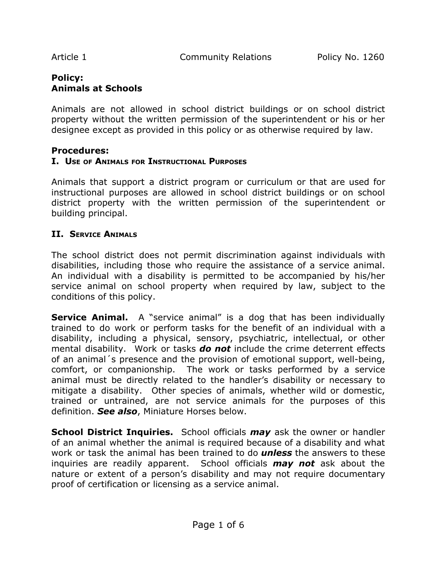Article 1 **Community Relations** Policy No. 1260

# **Policy: Animals at Schools**

Animals are not allowed in school district buildings or on school district property without the written permission of the superintendent or his or her designee except as provided in this policy or as otherwise required by law.

## **Procedures:**

## **I. USE OF ANIMALS FOR INSTRUCTIONAL PURPOSES**

Animals that support a district program or curriculum or that are used for instructional purposes are allowed in school district buildings or on school district property with the written permission of the superintendent or building principal.

## **II. SERVICE ANIMALS**

The school district does not permit discrimination against individuals with disabilities, including those who require the assistance of a service animal. An individual with a disability is permitted to be accompanied by his/her service animal on school property when required by law, subject to the conditions of this policy.

**Service Animal.** A "service animal" is a dog that has been individually trained to do work or perform tasks for the benefit of an individual with a disability, including a physical, sensory, psychiatric, intellectual, or other mental disability. Work or tasks *do not* include the crime deterrent effects of an animal´s presence and the provision of emotional support, well-being, comfort, or companionship. The work or tasks performed by a service animal must be directly related to the handler's disability or necessary to mitigate a disability. Other species of animals, whether wild or domestic, trained or untrained, are not service animals for the purposes of this definition. *See also*, Miniature Horses below.

**School District Inquiries.** School officials *may* ask the owner or handler of an animal whether the animal is required because of a disability and what work or task the animal has been trained to do *unless* the answers to these inquiries are readily apparent. School officials *may not* ask about the nature or extent of a person's disability and may not require documentary proof of certification or licensing as a service animal.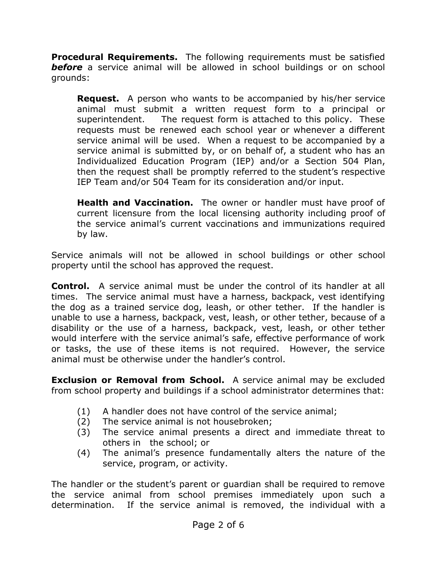**Procedural Requirements.** The following requirements must be satisfied **before** a service animal will be allowed in school buildings or on school grounds:

**Request.** A person who wants to be accompanied by his/her service animal must submit a written request form to a principal or superintendent. The request form is attached to this policy. These requests must be renewed each school year or whenever a different service animal will be used. When a request to be accompanied by a service animal is submitted by, or on behalf of, a student who has an Individualized Education Program (IEP) and/or a Section 504 Plan, then the request shall be promptly referred to the student's respective IEP Team and/or 504 Team for its consideration and/or input.

**Health and Vaccination.** The owner or handler must have proof of current licensure from the local licensing authority including proof of the service animal's current vaccinations and immunizations required by law.

Service animals will not be allowed in school buildings or other school property until the school has approved the request.

**Control.** A service animal must be under the control of its handler at all times. The service animal must have a harness, backpack, vest identifying the dog as a trained service dog, leash, or other tether. If the handler is unable to use a harness, backpack, vest, leash, or other tether, because of a disability or the use of a harness, backpack, vest, leash, or other tether would interfere with the service animal's safe, effective performance of work or tasks, the use of these items is not required. However, the service animal must be otherwise under the handler's control.

**Exclusion or Removal from School.** A service animal may be excluded from school property and buildings if a school administrator determines that:

- (1) A handler does not have control of the service animal;
- (2) The service animal is not housebroken;
- (3) The service animal presents a direct and immediate threat to others in the school; or
- (4) The animal's presence fundamentally alters the nature of the service, program, or activity.

The handler or the student's parent or guardian shall be required to remove the service animal from school premises immediately upon such a determination. If the service animal is removed, the individual with a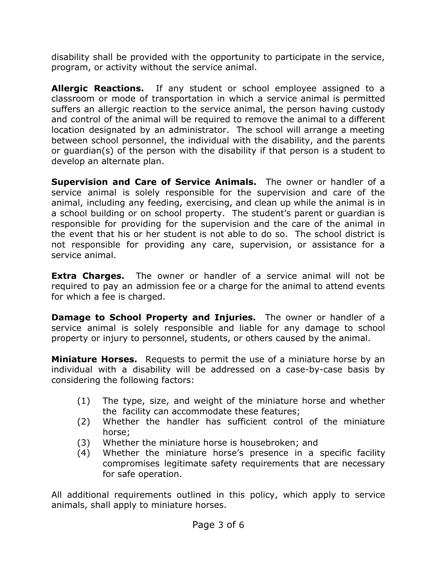disability shall be provided with the opportunity to participate in the service, program, or activity without the service animal.

**Allergic Reactions.** If any student or school employee assigned to a classroom or mode of transportation in which a service animal is permitted suffers an allergic reaction to the service animal, the person having custody and control of the animal will be required to remove the animal to a different location designated by an administrator. The school will arrange a meeting between school personnel, the individual with the disability, and the parents or guardian(s) of the person with the disability if that person is a student to develop an alternate plan.

**Supervision and Care of Service Animals.** The owner or handler of a service animal is solely responsible for the supervision and care of the animal, including any feeding, exercising, and clean up while the animal is in a school building or on school property. The student's parent or guardian is responsible for providing for the supervision and the care of the animal in the event that his or her student is not able to do so. The school district is not responsible for providing any care, supervision, or assistance for a service animal.

**Extra Charges.** The owner or handler of a service animal will not be required to pay an admission fee or a charge for the animal to attend events for which a fee is charged.

**Damage to School Property and Injuries.** The owner or handler of a service animal is solely responsible and liable for any damage to school property or injury to personnel, students, or others caused by the animal.

**Miniature Horses.** Requests to permit the use of a miniature horse by an individual with a disability will be addressed on a case-by-case basis by considering the following factors:

- (1) The type, size, and weight of the miniature horse and whether the facility can accommodate these features;
- (2) Whether the handler has sufficient control of the miniature horse;
- (3) Whether the miniature horse is housebroken; and
- (4) Whether the miniature horse's presence in a specific facility compromises legitimate safety requirements that are necessary for safe operation.

All additional requirements outlined in this policy, which apply to service animals, shall apply to miniature horses.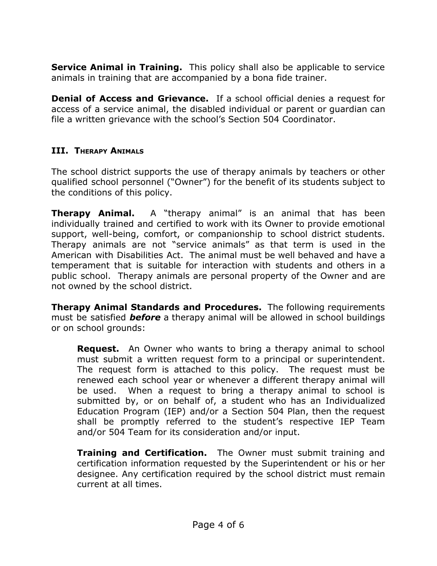**Service Animal in Training.** This policy shall also be applicable to service animals in training that are accompanied by a bona fide trainer.

**Denial of Access and Grievance.** If a school official denies a request for access of a service animal, the disabled individual or parent or guardian can file a written grievance with the school's Section 504 Coordinator.

# **III. THERAPY ANIMALS**

The school district supports the use of therapy animals by teachers or other qualified school personnel ("Owner") for the benefit of its students subject to the conditions of this policy.

**Therapy Animal.** A "therapy animal" is an animal that has been individually trained and certified to work with its Owner to provide emotional support, well-being, comfort, or companionship to school district students. Therapy animals are not "service animals" as that term is used in the American with Disabilities Act. The animal must be well behaved and have a temperament that is suitable for interaction with students and others in a public school. Therapy animals are personal property of the Owner and are not owned by the school district.

**Therapy Animal Standards and Procedures.** The following requirements must be satisfied *before* a therapy animal will be allowed in school buildings or on school grounds:

**Request.** An Owner who wants to bring a therapy animal to school must submit a written request form to a principal or superintendent. The request form is attached to this policy. The request must be renewed each school year or whenever a different therapy animal will be used. When a request to bring a therapy animal to school is submitted by, or on behalf of, a student who has an Individualized Education Program (IEP) and/or a Section 504 Plan, then the request shall be promptly referred to the student's respective IEP Team and/or 504 Team for its consideration and/or input.

**Training and Certification.** The Owner must submit training and certification information requested by the Superintendent or his or her designee. Any certification required by the school district must remain current at all times.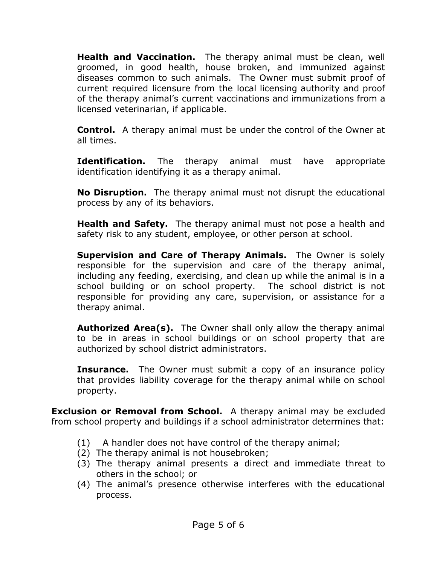**Health and Vaccination.** The therapy animal must be clean, well groomed, in good health, house broken, and immunized against diseases common to such animals. The Owner must submit proof of current required licensure from the local licensing authority and proof of the therapy animal's current vaccinations and immunizations from a licensed veterinarian, if applicable.

**Control.** A therapy animal must be under the control of the Owner at all times.

**Identification.** The therapy animal must have appropriate identification identifying it as a therapy animal.

**No Disruption.** The therapy animal must not disrupt the educational process by any of its behaviors.

**Health and Safety.** The therapy animal must not pose a health and safety risk to any student, employee, or other person at school.

**Supervision and Care of Therapy Animals.** The Owner is solely responsible for the supervision and care of the therapy animal, including any feeding, exercising, and clean up while the animal is in a school building or on school property. The school district is not responsible for providing any care, supervision, or assistance for a therapy animal.

**Authorized Area(s).** The Owner shall only allow the therapy animal to be in areas in school buildings or on school property that are authorized by school district administrators.

**Insurance.** The Owner must submit a copy of an insurance policy that provides liability coverage for the therapy animal while on school property.

**Exclusion or Removal from School.** A therapy animal may be excluded from school property and buildings if a school administrator determines that:

- (1) A handler does not have control of the therapy animal;
- (2) The therapy animal is not housebroken;
- (3) The therapy animal presents a direct and immediate threat to others in the school; or
- (4) The animal's presence otherwise interferes with the educational process.